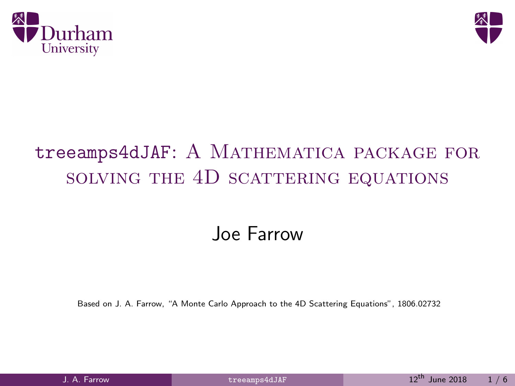<span id="page-0-0"></span>



## treeamps4dJAF: A MATHEMATICA PACKAGE FOR solving the 4D scattering equations

## Joe Farrow

Based on J. A. Farrow, "A Monte Carlo Approach to the 4D Scattering Equations", 1806.02732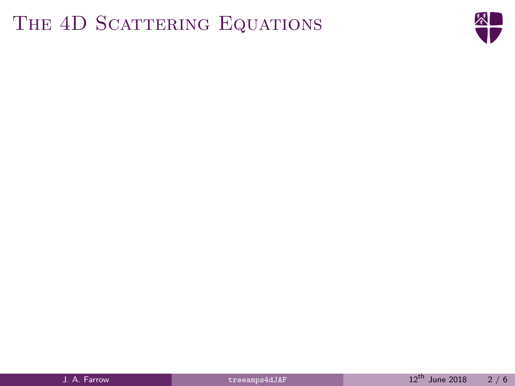## THE 4D SCATTERING EQUATIONS

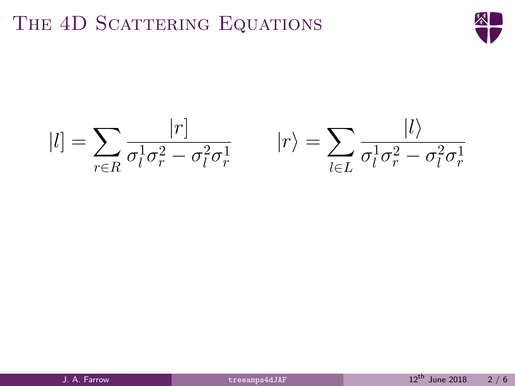## THE 4D SCATTERING EQUATIONS



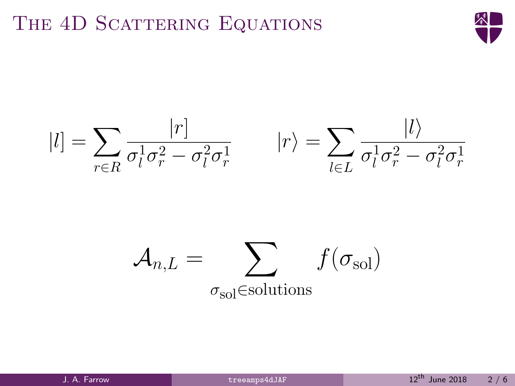## THE 4D SCATTERING EQUATIONS





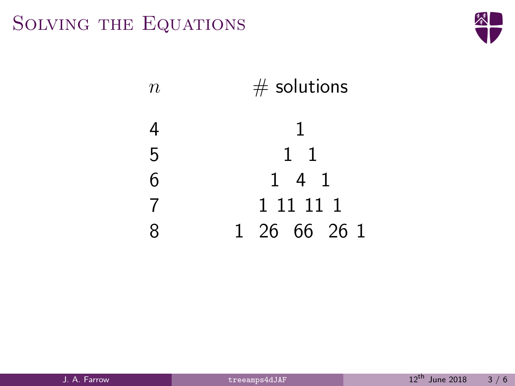## Solving the Equations



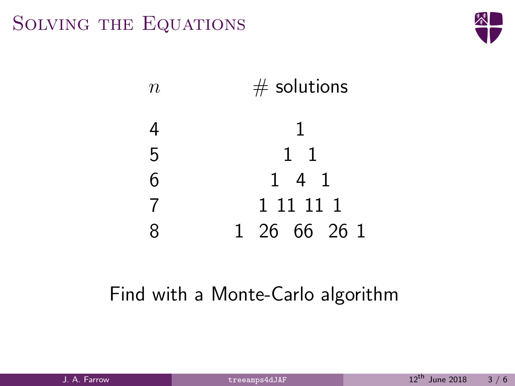## Solving the Equations





## Find with a Monte-Carlo algorithm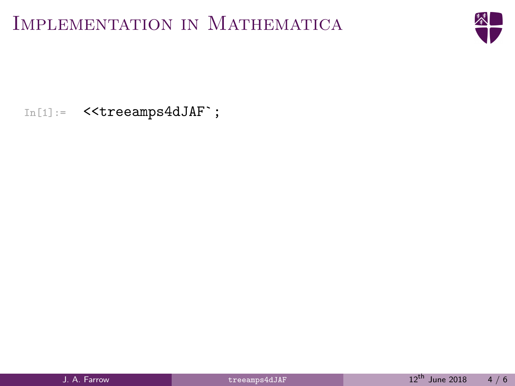

In[1]:= <<treeamps4dJAF`;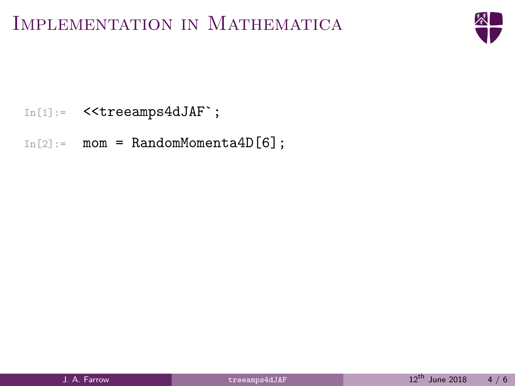

In[1]:= <<treeamps4dJAF`;

 $In[2]:$  mom = RandomMomenta4D $[6]$ ;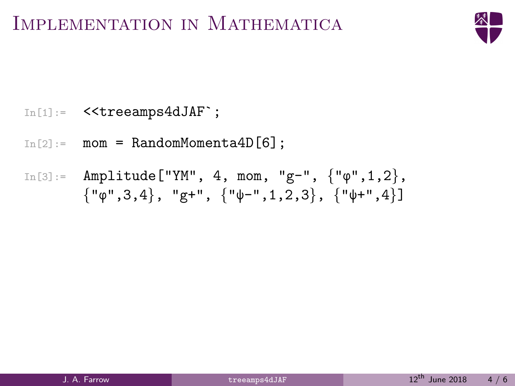

In[1]:= <<treeamps4dJAF`;

 $In[2]:$  mom = RandomMomenta4D $[6]$ ;

$$
\text{In[3]} := \text{ Amplitude}[\text{``YM''}, 4, \text{mom}, \text{``g''}, \{ \text{``}\varphi\text{''}, 1, 2 \}, \\ \{ \text{``}\varphi\text{''}, 3, 4 \}, \text{``g''}, \{ \text{``}\psi\text{''}, 1, 2, 3 \}, \{ \text{``}\psi\text{''}, 4 \}]
$$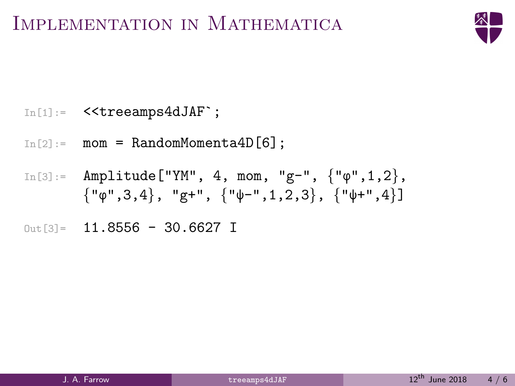

- $In[1]:$  << treeamps4dJAF`;
- $In[2]:$  mom = RandomMomenta4D $[6]$ ;
- $In [3]:$  Amplitude ["YM", 4, mom, "g-",  $\{$ " $\varphi$ ", 1, 2 $\}$ ,  $\{ \lVert \phi''', 3, 4 \rangle, \lVert g'' + \rVert, \{ \lVert \psi''', 1, 2, 3 \rangle, \{ \lVert \psi''', 4 \rangle \}$
- $Out[3] = 11.8556 30.6627$  I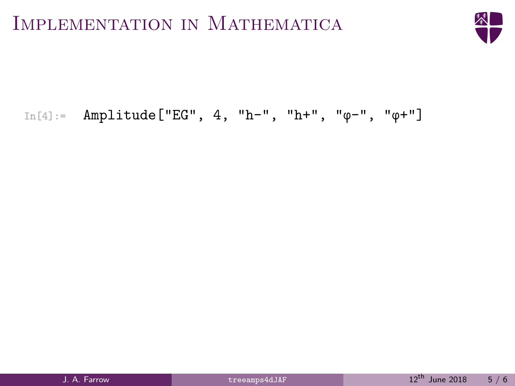

#### In[4]:= Amplitude["EG", 4, "h-", "h+", "φ-", "φ+"]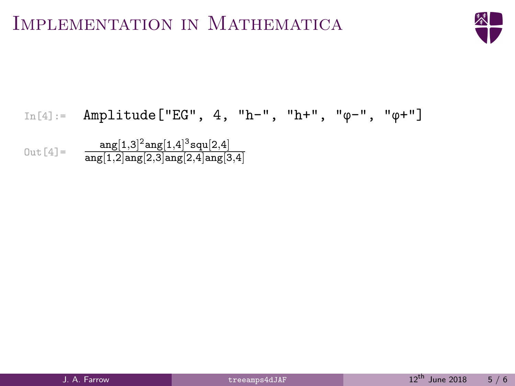

# In[4]:= Amplitude["EG", 4, "h-", "h+", "φ-", "φ+"]

 $\text{Out [4]} = \frac{\text{ang}[1,3]^2 \text{ang}[1,4]^3 \text{squ}[2,4]}{\text{ang}[1,2] \text{ang}[2,3] \text{ang}[2,4] \text{ang}[3,4]}$  $\texttt{ang}[1,\!2]\texttt{ang}[2,\!3]\texttt{ang}[2,\!4]\texttt{ang}[3,\!4]$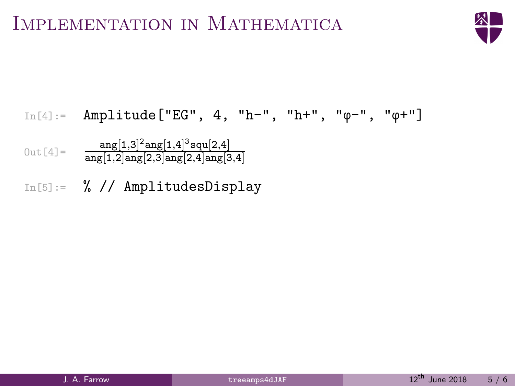

In[4]:= Amplitude["EG", 4, "h-", "h+", "φ-", "φ+"]  $\text{Out [4]} = \frac{\text{ang}[1,3]^2 \text{ang}[1,4]^3 \text{squ}[2,4]}{\text{ang}[1,2] \text{ang}[2,3] \text{ang}[2,4] \text{ang}[3,4]}$  $\texttt{ang}[1,\!2]\texttt{ang}[2,\!3]\texttt{ang}[2,\!4]\texttt{ang}[3,\!4]$ In[5]:= % // AmplitudesDisplay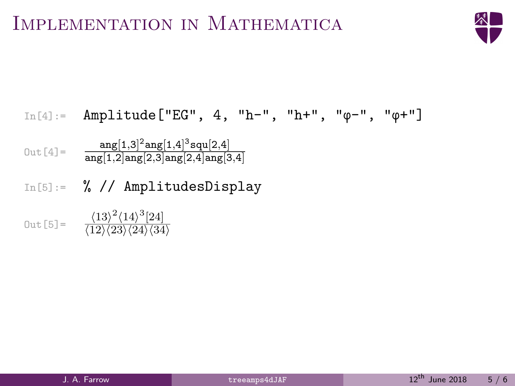

In[4]:= Amplitude["EG", 4, "h-", "h+", "φ-", "φ+"]  $\text{Out [4]} = \frac{\text{ang}[1,3]^2 \text{ang}[1,4]^3 \text{squ}[2,4]}{\text{ang}[1,2] \text{ang}[2,3] \text{ang}[2,4] \text{ang}[3,4]}$  $\texttt{ang}[1,\!2]\texttt{ang}[2,\!3]\texttt{ang}[2,\!4]\texttt{ang}[3,\!4]$ In[5]:= % // AmplitudesDisplay Out [5] =  $\frac{\langle 13 \rangle^2 \langle 14 \rangle^3 [24]}{\langle 12 \rangle \langle 23 \rangle \langle 24 \rangle \langle 34 \rangle}$  $\langle 12\rangle \langle 23\rangle \langle 24\rangle \langle 34\rangle$